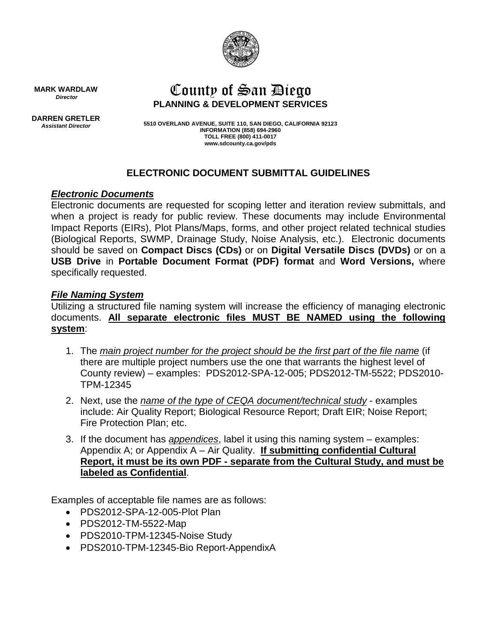

# County of San Diego **PLANNING & DEVELOPMENT SERVICES**

**MARK WARDLAW** *Director*

**DARREN GRETLER** *Assistant Director*

**5510 OVERLAND AVENUE, SUITE 110, SAN DIEGO, CALIFORNIA 92123 INFORMATION (858) 694-2960 TOLL FREE (800) 411-0017 www.sdcounty.ca.gov/pds**

## **ELECTRONIC DOCUMENT SUBMITTAL GUIDELINES**

#### *Electronic Documents*

Electronic documents are requested for scoping letter and iteration review submittals, and when a project is ready for public review. These documents may include Environmental Impact Reports (EIRs), Plot Plans/Maps, forms, and other project related technical studies (Biological Reports, SWMP, Drainage Study, Noise Analysis, etc.). Electronic documents should be saved on **Compact Discs (CDs)** or on **Digital Versatile Discs (DVDs)** or on a **USB Drive** in **Portable Document Format (PDF) format** and **Word Versions,** where specifically requested.

#### *File Naming System*

Utilizing a structured file naming system will increase the efficiency of managing electronic documents. **All separate electronic files MUST BE NAMED using the following system**:

- 1. The *main project number for the project should be the first part of the file name* (if there are multiple project numbers use the one that warrants the highest level of County review) – examples: PDS2012-SPA-12-005; PDS2012-TM-5522; PDS2010- TPM-12345
- 2. Next, use the *name of the type of CEQA document/technical study* examples include: Air Quality Report; Biological Resource Report; Draft EIR; Noise Report; Fire Protection Plan; etc.
- 3. If the document has *appendices*, label it using this naming system examples: Appendix A; or Appendix A – Air Quality. **If submitting confidential Cultural Report, it must be its own PDF - separate from the Cultural Study, and must be labeled as Confidential**.

Examples of acceptable file names are as follows:

- PDS2012-SPA-12-005-Plot Plan
- PDS2012-TM-5522-Map
- PDS2010-TPM-12345-Noise Study
- PDS2010-TPM-12345-Bio Report-AppendixA